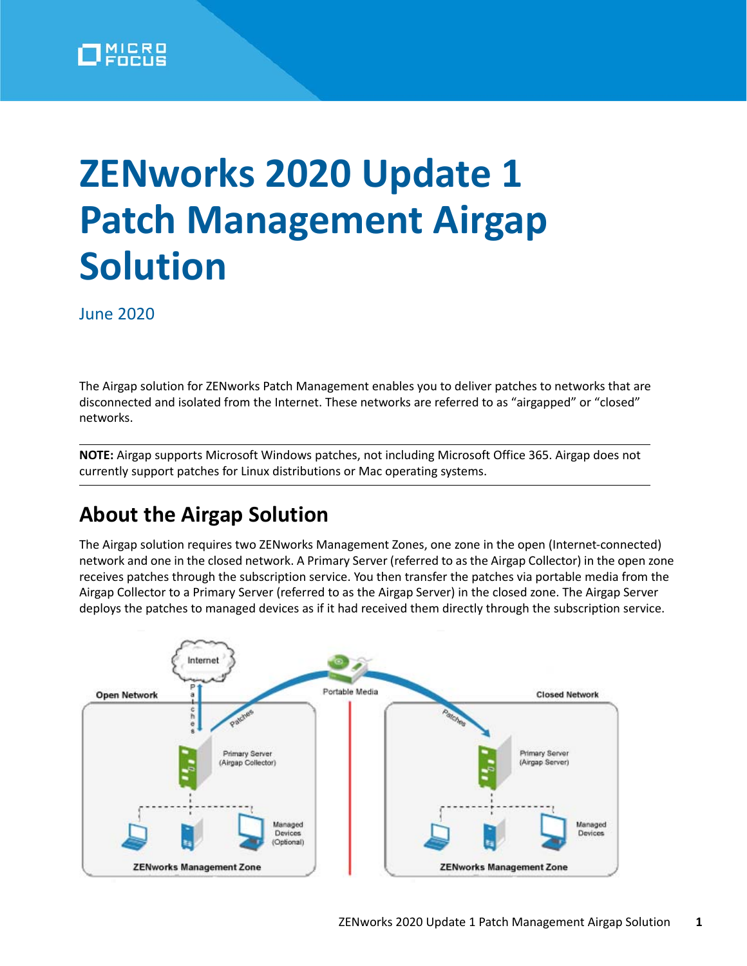

# **ZENworks 2020 Update 1 Patch Management Airgap Solution**

June 2020

The Airgap solution for ZENworks Patch Management enables you to deliver patches to networks that are disconnected and isolated from the Internet. These networks are referred to as "airgapped" or "closed" networks.

**NOTE:** Airgap supports Microsoft Windows patches, not including Microsoft Office 365. Airgap does not currently support patches for Linux distributions or Mac operating systems.

## **About the Airgap Solution**

The Airgap solution requires two ZENworks Management Zones, one zone in the open (Internet-connected) network and one in the closed network. A Primary Server (referred to as the Airgap Collector) in the open zone receives patches through the subscription service. You then transfer the patches via portable media from the Airgap Collector to a Primary Server (referred to as the Airgap Server) in the closed zone. The Airgap Server deploys the patches to managed devices as if it had received them directly through the subscription service.

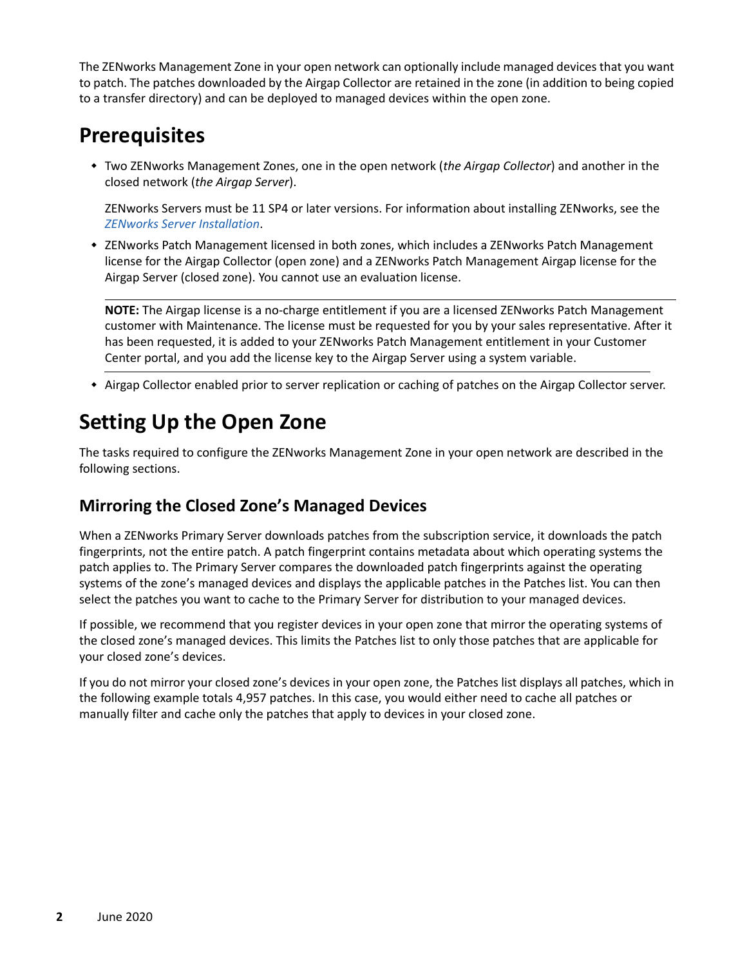The ZENworks Management Zone in your open network can optionally include managed devices that you want to patch. The patches downloaded by the Airgap Collector are retained in the zone (in addition to being copied to a transfer directory) and can be deployed to managed devices within the open zone.

## **Prerequisites**

 Two ZENworks Management Zones, one in the open network (*the Airgap Collector*) and another in the closed network (*the Airgap Server*).

ZENworks Servers must be 11 SP4 or later versions. For information about installing ZENworks, see the *[ZENworks Server Installation](https://www.novell.com/documentation/zenworks-2020/pdfdoc/zen_installation/zen_installation.pdf#bookinfo)*.

• ZENworks Patch Management licensed in both zones, which includes a ZENworks Patch Management license for the Airgap Collector (open zone) and a ZENworks Patch Management Airgap license for the Airgap Server (closed zone). You cannot use an evaluation license.

**NOTE:** The Airgap license is a no-charge entitlement if you are a licensed ZENworks Patch Management customer with Maintenance. The license must be requested for you by your sales representative. After it has been requested, it is added to your ZENworks Patch Management entitlement in your Customer Center portal, and you add the license key to the Airgap Server using a system variable.

Airgap Collector enabled prior to server replication or caching of patches on the Airgap Collector server.

## **Setting Up the Open Zone**

The tasks required to configure the ZENworks Management Zone in your open network are described in the following sections.

### <span id="page-1-0"></span>**Mirroring the Closed Zone's Managed Devices**

When a ZENworks Primary Server downloads patches from the subscription service, it downloads the patch fingerprints, not the entire patch. A patch fingerprint contains metadata about which operating systems the patch applies to. The Primary Server compares the downloaded patch fingerprints against the operating systems of the zone's managed devices and displays the applicable patches in the Patches list. You can then select the patches you want to cache to the Primary Server for distribution to your managed devices.

If possible, we recommend that you register devices in your open zone that mirror the operating systems of the closed zone's managed devices. This limits the Patches list to only those patches that are applicable for your closed zone's devices.

If you do not mirror your closed zone's devices in your open zone, the Patches list displays all patches, which in the following example totals 4,957 patches. In this case, you would either need to cache all patches or manually filter and cache only the patches that apply to devices in your closed zone.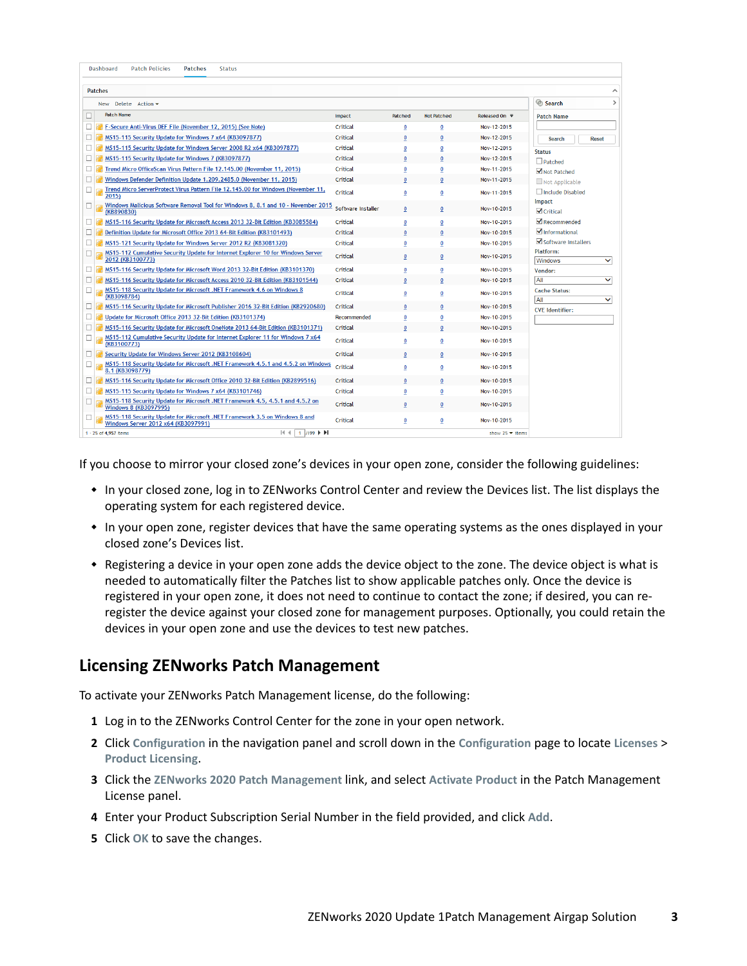| Dashboard<br><b>Patch Policies</b><br><b>Patches</b><br><b>Status</b>                                             |                    |              |                    |                                       |                                             |
|-------------------------------------------------------------------------------------------------------------------|--------------------|--------------|--------------------|---------------------------------------|---------------------------------------------|
|                                                                                                                   |                    |              |                    |                                       |                                             |
| <b>Patches</b>                                                                                                    |                    |              |                    |                                       | Search<br>$\rightarrow$                     |
| New Delete Action -<br><b>Patch Name</b>                                                                          |                    |              |                    |                                       |                                             |
|                                                                                                                   | Impact             | Patched      | <b>Not Patched</b> | Released On $\overline{\overline{z}}$ | <b>Patch Name</b>                           |
| F-Secure Anti-Virus DEF File (November 12, 2015) (See Note)<br>□                                                  | Critical           | 0            | 0                  | Nov-12-2015                           |                                             |
| MS15-115 Security Update for Windows 7 x64 (KB3097877)                                                            | Critical           | 0            | $\bf{0}$           | Nov-12-2015                           | <b>Search</b><br><b>Reset</b>               |
| MS15-115 Security Update for Windows Server 2008 R2 x64 (KB3097877)                                               | Critical           | O            | $\pmb{0}$          | Nov-12-2015                           | <b>Status</b>                               |
| MS15-115 Security Update for Windows 7 (KB3097877)                                                                | Critical           | 0            | $\bf{0}$           | Nov-12-2015                           | $D$ Patched                                 |
| Trend Micro OfficeScan Virus Pattern File 12.145.00 (November 11, 2015)                                           | Critical           | 0            | 0                  | Nov-11-2015                           | Not Patched                                 |
| Windows Defender Definition Update 1.209.2485.0 (November 11, 2015)                                               | Critical           | $\Omega$     | $\Omega$           | Nov-11-2015                           | Not Applicable                              |
| Trend Micro ServerProtect Virus Pattern File 12.145.00 for Windows (November 11,<br>п<br>2015)                    | Critical           | 0            | 0                  | Nov-11-2015                           | Include Disabled<br>Impact                  |
| Windows Malicious Software Removal Tool for Windows 8, 8.1 and 10 - November 2015<br>□.<br>(KB890830)             | Software Installer | 0            | $\mathbf{0}$       | Nov-10-2015                           | $\sqrt{\overline{\text{Critical}}}$         |
| MS15-116 Security Update for Microsoft Access 2013 32-Bit Edition (KB3085584)                                     | Critical           | 0            | $\mathbf 0$        | Nov-10-2015                           | $\blacktriangleright$ Recommended           |
| Definition Update for Microsoft Office 2013 64-Bit Edition (KB3101493)<br>П                                       | Critical           | $\mathbf{0}$ | $\mathbf{0}$       | Nov-10-2015                           | Informational                               |
| П<br>MS15-121 Security Update for Windows Server 2012 R2 (KB3081320)                                              | Critical           | 0            | $\pmb{0}$          | Nov-10-2015                           | Software Installers                         |
| MS15-112 Cumulative Security Update for Internet Explorer 10 for Windows Server<br>П<br>2012 (KB3100773)          | Critical           | 0            | $\mathbf{0}$       | Nov-10-2015                           | Platform:<br>$\checkmark$<br>Windows        |
| MS15-116 Security Update for Microsoft Word 2013 32-Bit Edition (KB3101370)                                       | Critical           | 0            | 0                  | Nov-10-2015                           | Vendor:                                     |
| MS15-116 Security Update for Microsoft Access 2010 32-Bit Edition (KB3101544)                                     | Critical           | n            | $\Omega$           | Nov-10-2015                           | All<br>$\checkmark$                         |
| MS15-118 Security Update for Microsoft .NET Framework 4.6 on Windows 8<br>(KB3098784)                             | Critical           | 0            | 0                  | Nov-10-2015                           | <b>Cache Status:</b><br>All<br>$\checkmark$ |
| MS15-116 Security Update for Microsoft Publisher 2016 32-Bit Edition (KB2920680)                                  | Critical           | $\bf{0}$     | $\mathbf 0$        | Nov-10-2015                           | <b>CVF</b> Identifier:                      |
| Update for Microsoft Office 2013 32-Bit Edition (KB3101374)                                                       | Recommended        | 0            | $\mathbf 0$        | Nov-10-2015                           |                                             |
| MS15-116 Security Update for Microsoft OneNote 2013 64-Bit Edition (KB3101371)                                    | Critical           | 0            | $\mathbf 0$        | Nov-10-2015                           |                                             |
| MS15-112 Cumulative Security Update for Internet Explorer 11 for Windows 7 x64<br>(KB3100773)                     | Critical           | 0            | $\mathbf{0}$       | Nov-10-2015                           |                                             |
| Security Update for Windows Server 2012 (KB3108604)                                                               | Critical           |              | $\mathbf 0$        | Nov-10-2015                           |                                             |
| MS15-118 Security Update for Microsoft .NET Framework 4.5.1 and 4.5.2 on Windows<br>П<br>8.1 (KB3098779)          | Critical           | 0            | 0                  | Nov-10-2015                           |                                             |
| MS15-116 Security Update for Microsoft Office 2010 32-Bit Edition (KB2899516)                                     | Critical           | 0            | $\mathbf{0}$       | Nov-10-2015                           |                                             |
| MS15-115 Security Update for Windows 7 x64 (KB3101746)                                                            | Critical           | 0            | $\mathbf 0$        | Nov-10-2015                           |                                             |
| MS15-118 Security Update for Microsoft .NET Framework 4.5, 4.5.1 and 4.5.2 on<br><b>Windows 8 (KB3097995)</b>     | Critical           | 0            | $\bf{0}$           | Nov-10-2015                           |                                             |
| MS15-118 Security Update for Microsoft .NET Framework 3.5 on Windows 8 and<br>Windows Server 2012 x64 (KB3097991) | Critical           | 0            | 0                  | Nov-10-2015                           |                                             |
| 14 4<br>$1/199$ $\blacktriangleright$ $\blacktriangleright$<br>1 - 25 of 4,957 items                              |                    |              |                    | show $25 -$ items                     |                                             |

If you choose to mirror your closed zone's devices in your open zone, consider the following guidelines:

- In your closed zone, log in to ZENworks Control Center and review the Devices list. The list displays the operating system for each registered device.
- In your open zone, register devices that have the same operating systems as the ones displayed in your closed zone's Devices list.
- Registering a device in your open zone adds the device object to the zone. The device object is what is needed to automatically filter the Patches list to show applicable patches only. Once the device is registered in your open zone, it does not need to continue to contact the zone; if desired, you can reregister the device against your closed zone for management purposes. Optionally, you could retain the devices in your open zone and use the devices to test new patches.

#### **Licensing ZENworks Patch Management**

To activate your ZENworks Patch Management license, do the following:

- **1** Log in to the ZENworks Control Center for the zone in your open network.
- **2** Click **Configuration** in the navigation panel and scroll down in the **Configuration** page to locate **Licenses** > **Product Licensing**.
- **3** Click the **ZENworks 2020 Patch Management** link, and select **Activate Product** in the Patch Management License panel.
- **4** Enter your Product Subscription Serial Number in the field provided, and click **Add**.
- **5** Click **OK** to save the changes.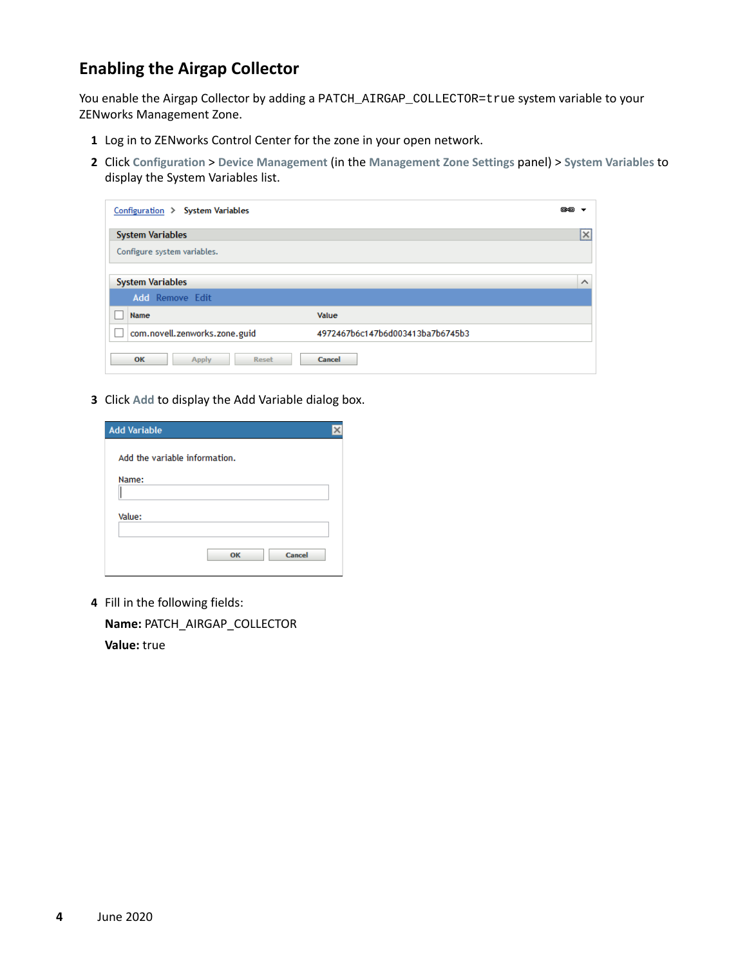### <span id="page-3-0"></span>**Enabling the Airgap Collector**

You enable the Airgap Collector by adding a PATCH\_AIRGAP\_COLLECTOR=true system variable to your ZENworks Management Zone.

- **1** Log in to ZENworks Control Center for the zone in your open network.
- **2** Click **Configuration** > **Device Management** (in the **Management Zone Settings** panel) > **System Variables** to display the System Variables list.

| Configuration > System Variables    |                                  | es a |          |
|-------------------------------------|----------------------------------|------|----------|
| <b>System Variables</b>             |                                  |      | M        |
| Configure system variables.         |                                  |      |          |
|                                     |                                  |      |          |
| <b>System Variables</b>             |                                  |      | $\wedge$ |
| <b>Add</b> Remove Edit              |                                  |      |          |
| Name                                | Value                            |      |          |
| com.novell.zenworks.zone.guid<br>L. | 4972467b6c147b6d003413ba7b6745b3 |      |          |
| OK<br>Apply<br>Reset                | Cancel                           |      |          |

**3** Click **Add** to display the Add Variable dialog box.

| <b>Add Variable</b>           |  |
|-------------------------------|--|
| Add the variable information. |  |
|                               |  |
| Name:                         |  |
|                               |  |
| Value:                        |  |
|                               |  |
| Cancel<br>OK                  |  |

**4** Fill in the following fields:

**Name:** PATCH\_AIRGAP\_COLLECTOR **Value:** true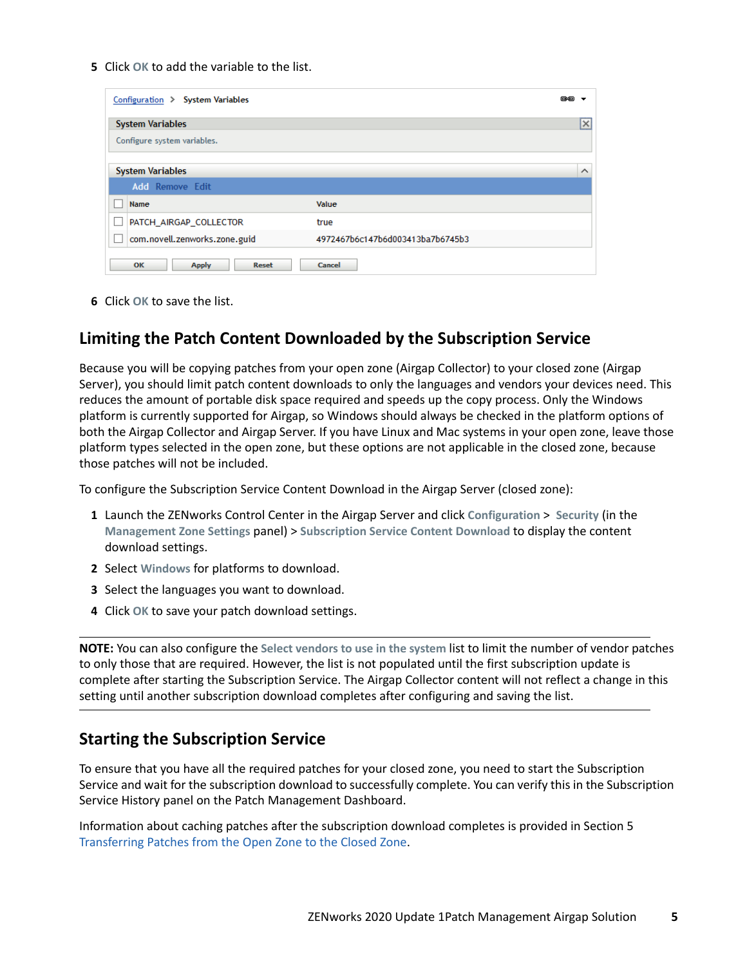**5** Click **OK** to add the variable to the list.

| Configuration > System Variables   |                                  | 色色        |
|------------------------------------|----------------------------------|-----------|
| <b>System Variables</b>            |                                  | <u>Ix</u> |
| Configure system variables.        |                                  |           |
|                                    |                                  |           |
| <b>System Variables</b>            |                                  | $\wedge$  |
| <b>Add</b> Remove Edit             |                                  |           |
| Name                               | Value                            |           |
| PATCH AIRGAP COLLECTOR             | true                             |           |
| com.novell.zenworks.zone.guid      | 4972467b6c147b6d003413ba7b6745b3 |           |
| OK<br><b>Apply</b><br><b>Reset</b> | Cancel                           |           |

**6** Click **OK** to save the list.

#### **Limiting the Patch Content Downloaded by the Subscription Service**

Because you will be copying patches from your open zone (Airgap Collector) to your closed zone (Airgap Server), you should limit patch content downloads to only the languages and vendors your devices need. This reduces the amount of portable disk space required and speeds up the copy process. Only the Windows platform is currently supported for Airgap, so Windows should always be checked in the platform options of both the Airgap Collector and Airgap Server. If you have Linux and Mac systems in your open zone, leave those platform types selected in the open zone, but these options are not applicable in the closed zone, because those patches will not be included.

To configure the Subscription Service Content Download in the Airgap Server (closed zone):

- **1** Launch the ZENworks Control Center in the Airgap Server and click **Configuration** > **Security** (in the **Management Zone Settings** panel) > **Subscription Service Content Download** to display the content download settings.
- **2** Select **Windows** for platforms to download.
- **3** Select the languages you want to download.
- **4** Click **OK** to save your patch download settings.

**NOTE:** You can also configure the **Select vendors to use in the system** list to limit the number of vendor patches to only those that are required. However, the list is not populated until the first subscription update is complete after starting the Subscription Service. The Airgap Collector content will not reflect a change in this setting until another subscription download completes after configuring and saving the list.

#### **Starting the Subscription Service**

To ensure that you have all the required patches for your closed zone, you need to start the Subscription Service and wait for the subscription download to successfully complete. You can verify this in the Subscription Service History panel on the Patch Management Dashboard.

Information about caching patches after the subscription download completes is provided in Section 5 [Transferring Patches from the Open Zone to the Closed Zone.](#page-7-0)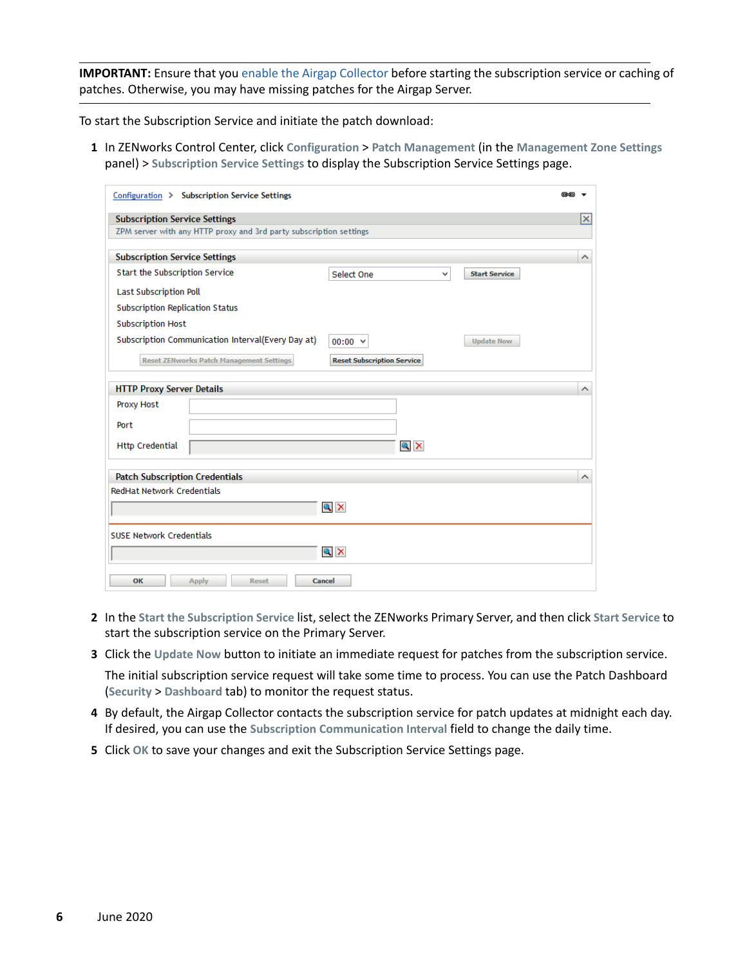**IMPORTANT:** Ensure that you [enable the Airgap Collector](#page-3-0) before starting the subscription service or caching of patches. Otherwise, you may have missing patches for the Airgap Server.

To start the Subscription Service and initiate the patch download:

**1** In ZENworks Control Center, click **Configuration** > **Patch Management** (in the **Management Zone Settings** panel) > **Subscription Service Settings** to display the Subscription Service Settings page.

| Configuration > Subscription Service Settings                                            | 色色                      |  |
|------------------------------------------------------------------------------------------|-------------------------|--|
| <b>Subscription Service Settings</b>                                                     | ×                       |  |
| ZPM server with any HTTP proxy and 3rd party subscription settings                       |                         |  |
|                                                                                          |                         |  |
| <b>Subscription Service Settings</b>                                                     | $\wedge$                |  |
| Start the Subscription Service<br><b>Select One</b><br>v<br><b>Start Service</b>         |                         |  |
| <b>Last Subscription Poll</b>                                                            |                         |  |
| <b>Subscription Replication Status</b>                                                   |                         |  |
| <b>Subscription Host</b>                                                                 |                         |  |
| Subscription Communication Interval(Every Day at)<br><b>Update Now</b><br>$00:00 \times$ |                         |  |
| <b>Reset ZENworks Patch Management Settings</b><br><b>Reset Subscription Service</b>     |                         |  |
| <b>HTTP Proxy Server Details</b>                                                         | ∧                       |  |
| Proxy Host                                                                               |                         |  |
|                                                                                          |                         |  |
| Port                                                                                     |                         |  |
| $Q \times$<br><b>Http Credential</b>                                                     |                         |  |
| <b>Patch Subscription Credentials</b>                                                    | $\widehat{\phantom{a}}$ |  |
| <b>RedHat Network Credentials</b>                                                        |                         |  |
|                                                                                          |                         |  |
| $Q \times$                                                                               |                         |  |
| <b>SUSE Network Credentials</b>                                                          |                         |  |
| $Q \times$                                                                               |                         |  |
| OK<br>Cancel<br><b>Apply</b><br>Reset                                                    |                         |  |

- **2** In the **Start the Subscription Service** list, select the ZENworks Primary Server, and then click **Start Service** to start the subscription service on the Primary Server.
- **3** Click the **Update Now** button to initiate an immediate request for patches from the subscription service. The initial subscription service request will take some time to process. You can use the Patch Dashboard (**Security** > **Dashboard** tab) to monitor the request status.
- **4** By default, the Airgap Collector contacts the subscription service for patch updates at midnight each day. If desired, you can use the **Subscription Communication Interval** field to change the daily time.
- **5** Click **OK** to save your changes and exit the Subscription Service Settings page.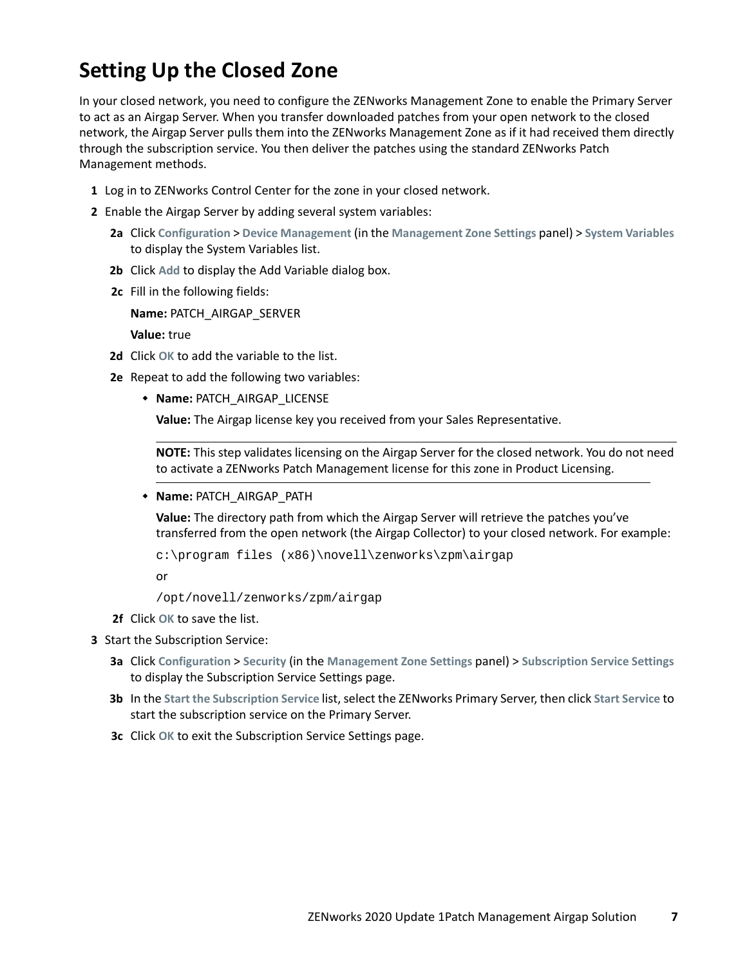## **Setting Up the Closed Zone**

In your closed network, you need to configure the ZENworks Management Zone to enable the Primary Server to act as an Airgap Server. When you transfer downloaded patches from your open network to the closed network, the Airgap Server pulls them into the ZENworks Management Zone as if it had received them directly through the subscription service. You then deliver the patches using the standard ZENworks Patch Management methods.

- **1** Log in to ZENworks Control Center for the zone in your closed network.
- **2** Enable the Airgap Server by adding several system variables:
	- **2a** Click **Configuration** > **Device Management** (in the **Management Zone Settings** panel) > **System Variables** to display the System Variables list.
	- **2b** Click **Add** to display the Add Variable dialog box.
	- **2c** Fill in the following fields:

**Name:** PATCH\_AIRGAP\_SERVER

**Value:** true

- **2d** Click **OK** to add the variable to the list.
- <span id="page-6-0"></span>**2e** Repeat to add the following two variables:
	- **Name:** PATCH\_AIRGAP\_LICENSE

**Value:** The Airgap license key you received from your Sales Representative.

**NOTE:** This step validates licensing on the Airgap Server for the closed network. You do not need to activate a ZENworks Patch Management license for this zone in Product Licensing.

**Name:** PATCH\_AIRGAP\_PATH

**Value:** The directory path from which the Airgap Server will retrieve the patches you've transferred from the open network (the Airgap Collector) to your closed network. For example:

c:\program files (x86)\novell\zenworks\zpm\airgap

or

```
/opt/novell/zenworks/zpm/airgap
```
**2f** Click **OK** to save the list.

#### **3** Start the Subscription Service:

- **3a** Click **Configuration** > **Security** (in the **Management Zone Settings** panel) > **Subscription Service Settings** to display the Subscription Service Settings page.
- **3b** In the **Start the Subscription Service** list, select the ZENworks Primary Server, then click **Start Service** to start the subscription service on the Primary Server.
- **3c** Click **OK** to exit the Subscription Service Settings page.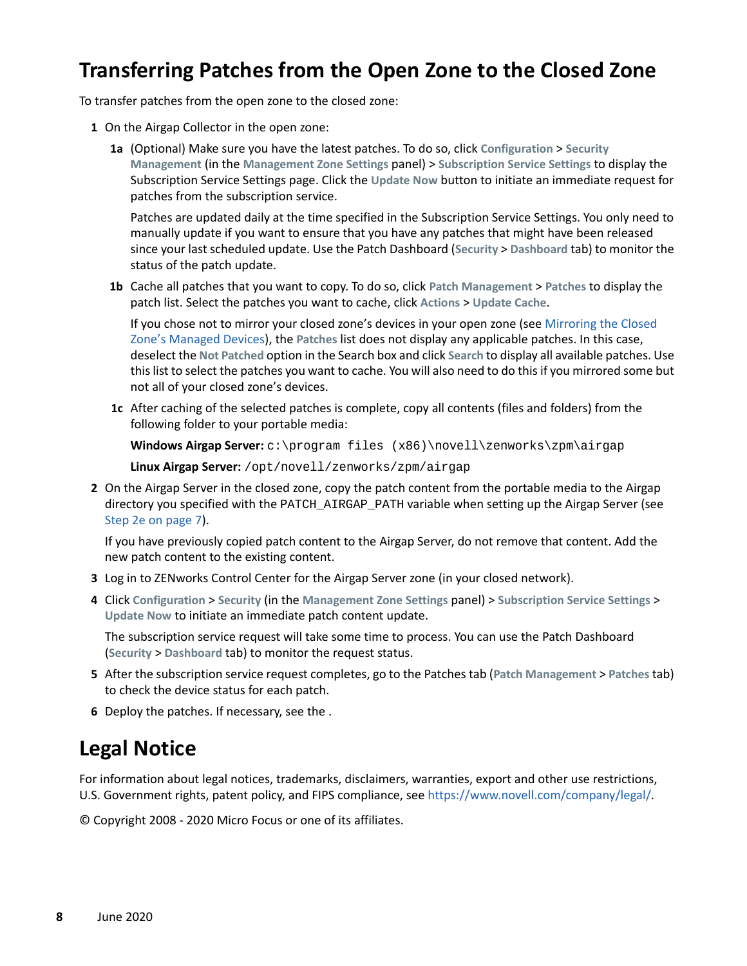## <span id="page-7-0"></span>**Transferring Patches from the Open Zone to the Closed Zone**

To transfer patches from the open zone to the closed zone:

- **1** On the Airgap Collector in the open zone:
	- **1a** (Optional) Make sure you have the latest patches. To do so, click **Configuration** > **Security Management** (in the **Management Zone Settings** panel) > **Subscription Service Settings** to display the Subscription Service Settings page. Click the **Update Now** button to initiate an immediate request for patches from the subscription service.

Patches are updated daily at the time specified in the Subscription Service Settings. You only need to manually update if you want to ensure that you have any patches that might have been released since your last scheduled update. Use the Patch Dashboard (**Security** > **Dashboard** tab) to monitor the status of the patch update.

**1b** Cache all patches that you want to copy. To do so, click **Patch Management** > **Patches** to display the patch list. Select the patches you want to cache, click **Actions** > **Update Cache**.

If you chose not to mirror your closed zone's devices in your open zone (see [Mirroring the Closed](#page-1-0)  [Zone's Managed Devices](#page-1-0)), the **Patches** list does not display any applicable patches. In this case, deselect the **Not Patched** option in the Search box and click **Search** to display all available patches. Use this list to select the patches you want to cache. You will also need to do this if you mirrored some but not all of your closed zone's devices.

**1c** After caching of the selected patches is complete, copy all contents (files and folders) from the following folder to your portable media:

Windows Airgap Server:  $c:\preccurlyeq c\ x86)\novell\zenvarks\zpn\airgap$ 

**Linux Airgap Server:** /opt/novell/zenworks/zpm/airgap

**2** On the Airgap Server in the closed zone, copy the patch content from the portable media to the Airgap directory you specified with the PATCH\_AIRGAP\_PATH variable when setting up the Airgap Server (see [Step 2e on page 7\)](#page-6-0).

If you have previously copied patch content to the Airgap Server, do not remove that content. Add the new patch content to the existing content.

- **3** Log in to ZENworks Control Center for the Airgap Server zone (in your closed network).
- **4** Click **Configuration** > **Security** (in the **Management Zone Settings** panel) > **Subscription Service Settings** > **Update Now** to initiate an immediate patch content update.

The subscription service request will take some time to process. You can use the Patch Dashboard (**Security** > **Dashboard** tab) to monitor the request status.

- **5** After the subscription service request completes, go to the Patches tab (**Patch Management** > **Patches** tab) to check the device status for each patch.
- **6** Deploy the patches. If necessary, see the .

## **Legal Notice**

For information about legal notices, trademarks, disclaimers, warranties, export and other use restrictions, U.S. Government rights, patent policy, and FIPS compliance, see [https://www.novell.com/company/legal/.](https://www.novell.com/company/legal/)

© Copyright 2008 - 2020 Micro Focus or one of its affiliates.